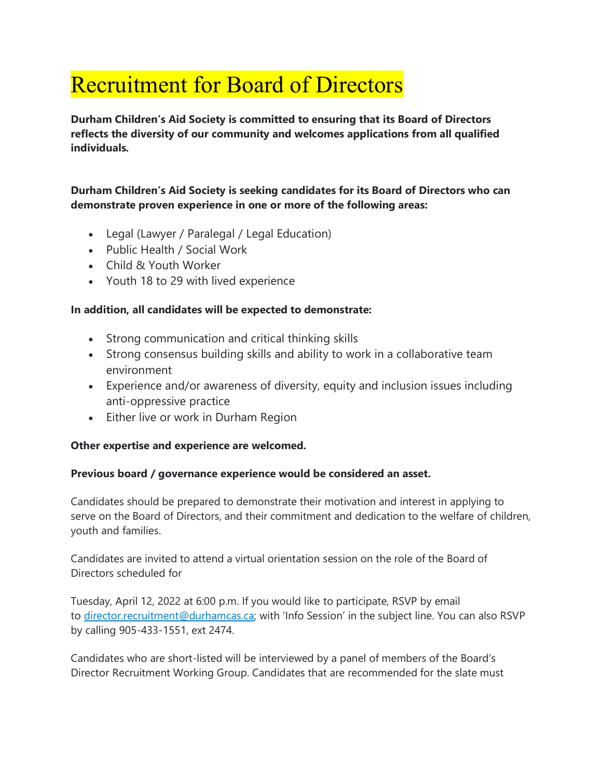# Recruitment for Board of Directors

**Durham Children's Aid Society is committed to ensuring that its Board of Directors reflects the diversity of our community and welcomes applications from all qualified individuals.**

### **Durham Children's Aid Society is seeking candidates for its Board of Directors who can demonstrate proven experience in one or more of the following areas:**

- Legal (Lawyer / Paralegal / Legal Education)
- Public Health / Social Work
- Child & Youth Worker
- Youth 18 to 29 with lived experience

### **In addition, all candidates will be expected to demonstrate:**

- Strong communication and critical thinking skills
- Strong consensus building skills and ability to work in a collaborative team environment
- Experience and/or awareness of diversity, equity and inclusion issues including anti-oppressive practice
- Either live or work in Durham Region

## **Other expertise and experience are welcomed.**

## **Previous board / governance experience would be considered an asset.**

Candidates should be prepared to demonstrate their motivation and interest in applying to serve on the Board of Directors, and their commitment and dedication to the welfare of children, youth and families.

Candidates are invited to attend a virtual orientation session on the role of the Board of Directors scheduled for

Tuesday, April 12, 2022 at 6:00 p.m. If you would like to participate, RSVP by email to [director.recruitment@durhamcas.ca](mailto:director.recruitment@durhamcas.ca); with 'Info Session' in the subject line. You can also RSVP by calling 905-433-1551, ext 2474.

Candidates who are short-listed will be interviewed by a panel of members of the Board's Director Recruitment Working Group. Candidates that are recommended for the slate must